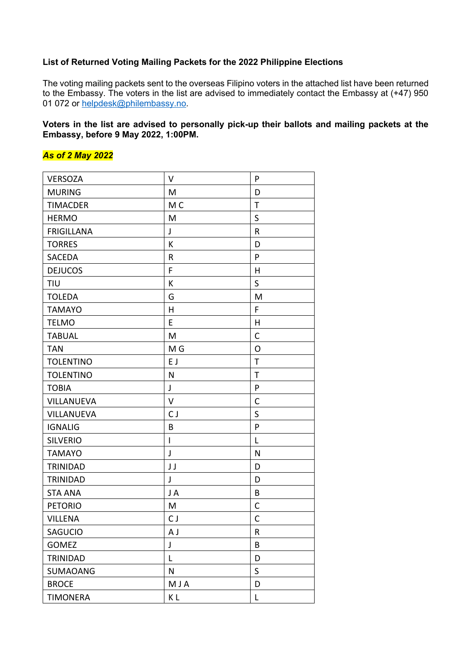#### **List of Returned Voting Mailing Packets for the 2022 Philippine Elections**

The voting mailing packets sent to the overseas Filipino voters in the attached list have been returned to the Embassy. The voters in the list are advised to immediately contact the Embassy at (+47) 950 01 072 or helpdesk@philembassy.no.

#### **Voters in the list are advised to personally pick-up their ballots and mailing packets at the Embassy, before 9 May 2022, 1:00PM.**

### *As of 2 May 2022*

| <b>VERSOZA</b>    | V                        | P            |
|-------------------|--------------------------|--------------|
| <b>MURING</b>     | M                        | D            |
| <b>TIMACDER</b>   | M C                      | $\mathsf T$  |
| <b>HERMO</b>      | M                        | S            |
| <b>FRIGILLANA</b> | J                        | R            |
| <b>TORRES</b>     | К                        | D            |
| SACEDA            | R                        | P            |
| <b>DEJUCOS</b>    | F                        | H            |
| <b>TIU</b>        | К                        | S            |
| <b>TOLEDA</b>     | G                        | M            |
| <b>TAMAYO</b>     | $\overline{H}$           | F            |
| <b>TELMO</b>      | E                        | H            |
| <b>TABUAL</b>     | M                        | C            |
| <b>TAN</b>        | M G                      | O            |
| <b>TOLENTINO</b>  | E J                      | T            |
| <b>TOLENTINO</b>  | N                        | $\mathsf T$  |
| <b>TOBIA</b>      | J                        | P            |
| VILLANUEVA        | $\vee$                   | $\mathsf{C}$ |
| VILLANUEVA        | CJ                       | S            |
| <b>IGNALIG</b>    | B                        | P            |
| <b>SILVERIO</b>   | $\overline{\phantom{a}}$ | L            |
| <b>TAMAYO</b>     | J                        | N            |
| TRINIDAD          | JJ                       | D            |
| TRINIDAD          | J                        | D            |
| <b>STA ANA</b>    | JA                       | B            |
| <b>PETORIO</b>    | M                        | C            |
| <b>VILLENA</b>    | CJ                       | C            |
| SAGUCIO           | A J                      | R            |
| <b>GOMEZ</b>      | J                        | B            |
| TRINIDAD          | L                        | D            |
| SUMAOANG          | N                        | $\mathsf S$  |
| <b>BROCE</b>      | MJA                      | D            |
| <b>TIMONERA</b>   | K L                      | L            |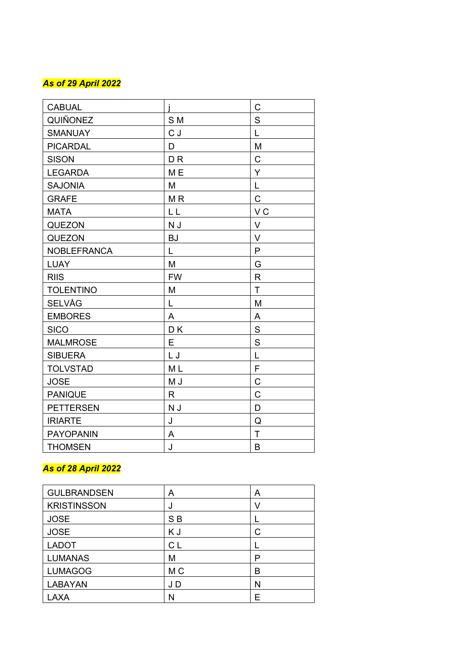### *As of 2 9 April 2022*

| <b>CABUAL</b>      |                | C              |
|--------------------|----------------|----------------|
| QUIÑONEZ           | S <sub>M</sub> | S              |
| <b>SMANUAY</b>     | CJ             | $\overline{L}$ |
| <b>PICARDAL</b>    | D              | M              |
| <b>SISON</b>       | D <sub>R</sub> | $\mathsf C$    |
| <b>LEGARDA</b>     | M <sub>E</sub> | Y              |
| <b>SAJONIA</b>     | M              | L              |
| <b>GRAFE</b>       | M <sub>R</sub> | $\mathsf C$    |
| <b>MATA</b>        | LL             | V <sub>C</sub> |
| QUEZON             | N J            | $\vee$         |
| <b>QUEZON</b>      | <b>BJ</b>      | $\vee$         |
| <b>NOBLEFRANCA</b> | L              | P              |
| <b>LUAY</b>        | M              | G              |
| <b>RIIS</b>        | <b>FW</b>      | $\mathsf{R}$   |
| <b>TOLENTINO</b>   | M              | $\mathsf{T}$   |
| <b>SELVÅG</b>      | L              | M              |
| <b>EMBORES</b>     | A              | A              |
| <b>SICO</b>        | DK             | S              |
| <b>MALMROSE</b>    | Е              | S              |
| <b>SIBUERA</b>     | L J            | L              |
| <b>TOLVSTAD</b>    | M <sub>L</sub> | F              |
| <b>JOSE</b>        | M J            | C              |
| <b>PANIQUE</b>     | R              | C              |
| <b>PETTERSEN</b>   | N J            | D              |
| <b>IRIARTE</b>     | J              | Q              |
| <b>PAYOPANIN</b>   | A              | $\mathsf{T}$   |
| <b>THOMSEN</b>     | J              | B              |

## *As of 28 April 2022*

| <b>GULBRANDSEN</b> | A              | A |
|--------------------|----------------|---|
| <b>KRISTINSSON</b> | J              |   |
| <b>JOSE</b>        | S <sub>B</sub> |   |
| <b>JOSE</b>        | KJ             |   |
| <b>LADOT</b>       | C L            |   |
| <b>LUMANAS</b>     | М              | P |
| <b>LUMAGOG</b>     | M <sub>C</sub> | B |
| <b>LABAYAN</b>     | J D            | Ν |
| <b>AXA</b>         |                |   |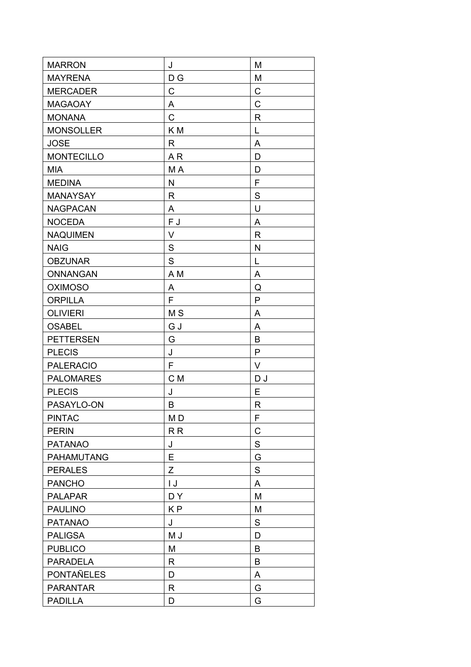| <b>MARRON</b>     | J                       | M            |
|-------------------|-------------------------|--------------|
| <b>MAYRENA</b>    | D G                     | M            |
| <b>MERCADER</b>   | C                       | $\mathsf C$  |
| <b>MAGAOAY</b>    | A                       | $\mathsf C$  |
| <b>MONANA</b>     | $\mathsf C$             | $\mathsf{R}$ |
| <b>MONSOLLER</b>  | K <sub>M</sub>          | L            |
| <b>JOSE</b>       | R                       | A            |
| <b>MONTECILLO</b> | AR                      | D            |
| <b>MIA</b>        | M A                     | D            |
| <b>MEDINA</b>     | $\mathsf{N}$            | F            |
| <b>MANAYSAY</b>   | R                       | $\mathbf S$  |
| <b>NAGPACAN</b>   | A                       | U            |
| <b>NOCEDA</b>     | F J                     | A            |
| <b>NAQUIMEN</b>   | V                       | $\mathsf{R}$ |
| <b>NAIG</b>       | $\mathsf S$             | N            |
| <b>OBZUNAR</b>    | S                       | L            |
| <b>ONNANGAN</b>   | A <sub>M</sub>          | Α            |
| <b>OXIMOSO</b>    | A                       | Q            |
| <b>ORPILLA</b>    | F                       | $\mathsf{P}$ |
| <b>OLIVIERI</b>   | M <sub>S</sub>          | A            |
| <b>OSABEL</b>     | G J                     | A            |
| <b>PETTERSEN</b>  | G                       | B            |
| <b>PLECIS</b>     | J                       | $\mathsf{P}$ |
| <b>PALERACIO</b>  | F                       | V            |
| <b>PALOMARES</b>  | C M                     | DJ           |
| <b>PLECIS</b>     | J                       | E            |
| PASAYLO-ON        | B                       | R            |
| <b>PINTAC</b>     | M <sub>D</sub>          | F            |
| <b>PERIN</b>      | R <sub>R</sub>          | C            |
| <b>PATANAO</b>    | J                       | S            |
| PAHAMUTANG        | E                       | G            |
| <b>PERALES</b>    | Z                       | $\mathbf S$  |
| <b>PANCHO</b>     | $\mathsf{I} \mathsf{J}$ | A            |
| <b>PALAPAR</b>    | DY                      | M            |
| <b>PAULINO</b>    | KP                      | M            |
| <b>PATANAO</b>    | J                       | S            |
| <b>PALIGSA</b>    | M J                     | D            |
| <b>PUBLICO</b>    | M                       | B            |
| <b>PARADELA</b>   | R                       | B            |
| <b>PONTAÑELES</b> | D                       | A            |
| <b>PARANTAR</b>   | $\mathsf{R}$            | G            |
| <b>PADILLA</b>    | D                       | G            |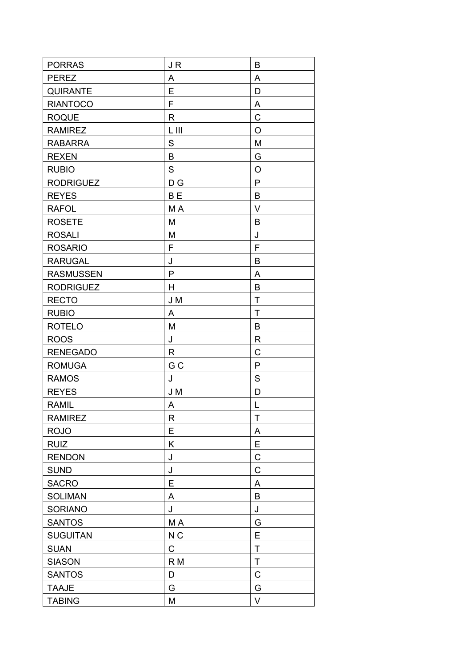| <b>PORRAS</b>    | JR             | B            |
|------------------|----------------|--------------|
| <b>PEREZ</b>     | A              | A            |
| <b>QUIRANTE</b>  | E              | D            |
| <b>RIANTOCO</b>  | F              | A            |
| <b>ROQUE</b>     | R              | $\mathsf C$  |
| <b>RAMIREZ</b>   | L III          | $\circ$      |
| <b>RABARRA</b>   | S              | M            |
| <b>REXEN</b>     | B              | G            |
| <b>RUBIO</b>     | S              | O            |
| <b>RODRIGUEZ</b> | D G            | $\mathsf{P}$ |
| <b>REYES</b>     | B <sub>E</sub> | B            |
| <b>RAFOL</b>     | M A            | $\vee$       |
| <b>ROSETE</b>    | M              | B            |
| <b>ROSALI</b>    | M              | J            |
| <b>ROSARIO</b>   | F              | F            |
| <b>RARUGAL</b>   | J              | B            |
| <b>RASMUSSEN</b> | $\mathsf{P}$   | A            |
| <b>RODRIGUEZ</b> | H              | B            |
| <b>RECTO</b>     | J M            | $\mathsf T$  |
| <b>RUBIO</b>     | A              | $\mathsf{T}$ |
| <b>ROTELO</b>    | M              | B            |
| <b>ROOS</b>      | J              | R            |
| <b>RENEGADO</b>  | $\mathsf{R}$   | C            |
| <b>ROMUGA</b>    | G <sub>C</sub> | P            |
| <b>RAMOS</b>     | J              | $\mathsf S$  |
| <b>REYES</b>     | J M            | D            |
| <b>RAMIL</b>     | A              | L            |
| <b>RAMIREZ</b>   | R              | T            |
| <b>ROJO</b>      | Е              | A            |
| <b>RUIZ</b>      | K              | E            |
| <b>RENDON</b>    | J              | $\mathsf C$  |
| <b>SUND</b>      | J              | $\mathsf{C}$ |
| <b>SACRO</b>     | Е              | A            |
| <b>SOLIMAN</b>   | A              | B            |
| <b>SORIANO</b>   | J              | J            |
| <b>SANTOS</b>    | MA             | G            |
| <b>SUGUITAN</b>  | N <sub>C</sub> | E            |
| <b>SUAN</b>      | C              | $\mathsf T$  |
| <b>SIASON</b>    | R <sub>M</sub> | $\sf T$      |
| <b>SANTOS</b>    | D              | $\mathsf{C}$ |
| <b>TAAJE</b>     | G              | G            |
| <b>TABING</b>    | M              | $\vee$       |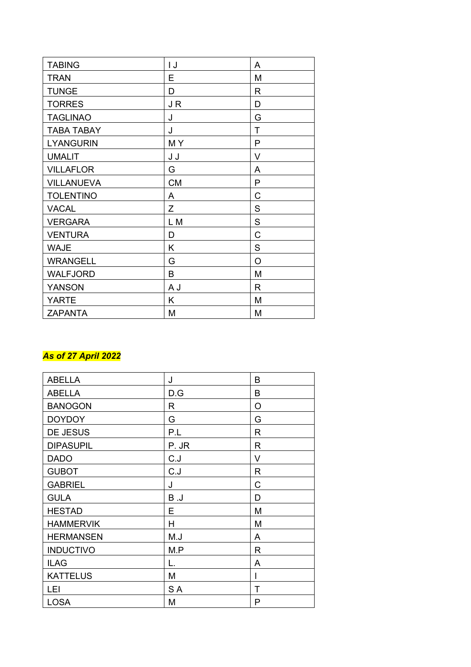| <b>TABING</b>     | IJ        | A            |
|-------------------|-----------|--------------|
| <b>TRAN</b>       | E         | M            |
| <b>TUNGE</b>      | D         | R            |
| <b>TORRES</b>     | JR        | D            |
| <b>TAGLINAO</b>   | J         | G            |
| <b>TABA TABAY</b> | J         | T            |
| <b>LYANGURIN</b>  | MY        | $\mathsf{P}$ |
| <b>UMALIT</b>     | J J       | V            |
| <b>VILLAFLOR</b>  | G         | A            |
| <b>VILLANUEVA</b> | <b>CM</b> | P            |
| <b>TOLENTINO</b>  | A         | C            |
| <b>VACAL</b>      | Ζ         | $\mathsf S$  |
| <b>VERGARA</b>    | L M       | $\mathsf S$  |
| <b>VENTURA</b>    | D         | $\mathsf{C}$ |
| <b>WAJE</b>       | Κ         | $\mathsf S$  |
| <b>WRANGELL</b>   | G         | $\circ$      |
| <b>WALFJORD</b>   | B         | M            |
| <b>YANSON</b>     | A J       | R            |
| <b>YARTE</b>      | Κ         | M            |
| <b>ZAPANTA</b>    | M         | M            |

# *As of 27 April 2022*

| <b>ABELLA</b>    | J     | B |
|------------------|-------|---|
| <b>ABELLA</b>    | D.G   | В |
| <b>BANOGON</b>   | R     | O |
| <b>DOYDOY</b>    | G     | G |
| <b>DE JESUS</b>  | P.L   | R |
| <b>DIPASUPIL</b> | P. JR | R |
| <b>DADO</b>      | C.J   | V |
| <b>GUBOT</b>     | C.J   | R |
| <b>GABRIEL</b>   | J     | C |
| <b>GULA</b>      | B.J   | D |
| <b>HESTAD</b>    | Е     | M |
| <b>HAMMERVIK</b> | H     | M |
| <b>HERMANSEN</b> | M.J   | A |
| <b>INDUCTIVO</b> | M.P   | R |
| <b>ILAG</b>      | L.    | A |
| <b>KATTELUS</b>  | M     | I |
| LEI              | S A   | т |
| <b>LOSA</b>      | M     | P |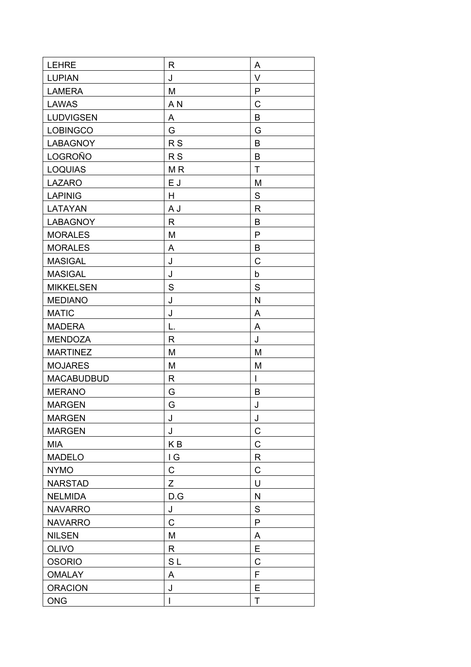| <b>LEHRE</b>      | R                       | A            |
|-------------------|-------------------------|--------------|
| <b>LUPIAN</b>     | J                       | $\vee$       |
| <b>LAMERA</b>     | M                       | $\mathsf{P}$ |
| <b>LAWAS</b>      | A <sub>N</sub>          | $\mathsf{C}$ |
| <b>LUDVIGSEN</b>  | A                       | B            |
| <b>LOBINGCO</b>   | G                       | G            |
| <b>LABAGNOY</b>   | R <sub>S</sub>          | B            |
| LOGROÑO           | <b>RS</b>               | B            |
| <b>LOQUIAS</b>    | M <sub>R</sub>          | T            |
| <b>LAZARO</b>     | E J                     | M            |
| <b>LAPINIG</b>    | H                       | S            |
| LATAYAN           | A J                     | R            |
| <b>LABAGNOY</b>   | $\mathsf{R}$            | B            |
| <b>MORALES</b>    | M                       | $\mathsf{P}$ |
| <b>MORALES</b>    | A                       | B            |
| <b>MASIGAL</b>    | J                       | $\mathsf C$  |
| <b>MASIGAL</b>    | J                       | b            |
| <b>MIKKELSEN</b>  | S                       | S            |
| <b>MEDIANO</b>    | J                       | N            |
| <b>MATIC</b>      | J                       | A            |
| <b>MADERA</b>     | L.                      | A            |
| <b>MENDOZA</b>    | R                       | J            |
| <b>MARTINEZ</b>   | M                       | M            |
| <b>MOJARES</b>    | M                       | M            |
| <b>MACABUDBUD</b> | R                       | $\mathsf{I}$ |
| <b>MERANO</b>     | G                       | B            |
| <b>MARGEN</b>     | G                       | J            |
| <b>MARGEN</b>     | J                       | J            |
| <b>MARGEN</b>     | J                       | C            |
| <b>MIA</b>        | K <sub>B</sub>          | $\mathsf C$  |
| <b>MADELO</b>     | $\mathsf{I} \mathsf{G}$ | $\mathsf{R}$ |
| <b>NYMO</b>       | $\mathsf C$             | $\mathsf{C}$ |
| <b>NARSTAD</b>    | Z                       | U            |
| <b>NELMIDA</b>    | D.G                     | N            |
| <b>NAVARRO</b>    | J                       | $\mathsf S$  |
| <b>NAVARRO</b>    | $\mathsf C$             | ${\sf P}$    |
| <b>NILSEN</b>     | M                       | A            |
| <b>OLIVO</b>      | R                       | E            |
| <b>OSORIO</b>     | SL                      | $\mathsf C$  |
| <b>OMALAY</b>     | A                       | F            |
| <b>ORACION</b>    | J                       | E            |
| <b>ONG</b>        | L                       | T            |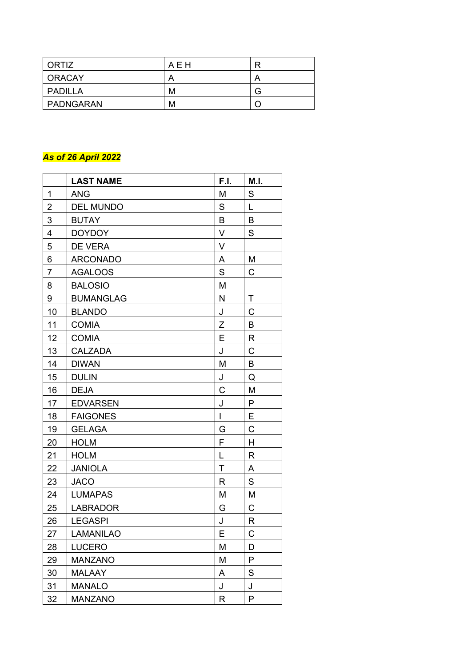| ORTIZ         | AEH |   |
|---------------|-----|---|
| <b>ORACAY</b> |     |   |
| PADILLA       | м   | G |
| PADNGARAN     | м   |   |

### *As of 26 April 2022*

|                | <b>LAST NAME</b> | F.I.        | M.I.         |
|----------------|------------------|-------------|--------------|
| 1              | <b>ANG</b>       | M           | S            |
| $\overline{2}$ | <b>DEL MUNDO</b> | S           | L            |
| 3              | <b>BUTAY</b>     | B           | B            |
| $\overline{4}$ | <b>DOYDOY</b>    | V           | $\mathsf S$  |
| 5              | DE VERA          | V           |              |
| 6              | <b>ARCONADO</b>  | A           | M            |
| $\overline{7}$ | <b>AGALOOS</b>   | $\mathsf S$ | C            |
| 8              | <b>BALOSIO</b>   | M           |              |
| 9              | <b>BUMANGLAG</b> | N           | T            |
| 10             | <b>BLANDO</b>    | J           | C            |
| 11             | <b>COMIA</b>     | $\mathsf Z$ | B            |
| 12             | <b>COMIA</b>     | E           | $\mathsf{R}$ |
| 13             | <b>CALZADA</b>   | J           | $\mathsf C$  |
| 14             | <b>DIWAN</b>     | M           | B            |
| 15             | <b>DULIN</b>     | J           | Q            |
| 16             | <b>DEJA</b>      | C           | M            |
| 17             | <b>EDVARSEN</b>  | J           | P            |
| 18             | <b>FAIGONES</b>  | I           | Ε            |
| 19             | <b>GELAGA</b>    | G           | C            |
| 20             | <b>HOLM</b>      | F           | H            |
| 21             | <b>HOLM</b>      | L           | R            |
| 22             | <b>JANIOLA</b>   | $\mathsf T$ | A            |
| 23             | <b>JACO</b>      | R           | $\mathsf S$  |
| 24             | <b>LUMAPAS</b>   | M           | M            |
| 25             | <b>LABRADOR</b>  | G           | $\mathsf C$  |
| 26             | <b>LEGASPI</b>   | J           | R            |
| 27             | <b>LAMANILAO</b> | Е           | С            |
| 28             | <b>LUCERO</b>    | M           | D            |
| 29             | <b>MANZANO</b>   | Μ           | P            |
| 30             | <b>MALAAY</b>    | Α           | S            |
| 31             | <b>MANALO</b>    | J           | J            |
| 32             | <b>MANZANO</b>   | R           | P            |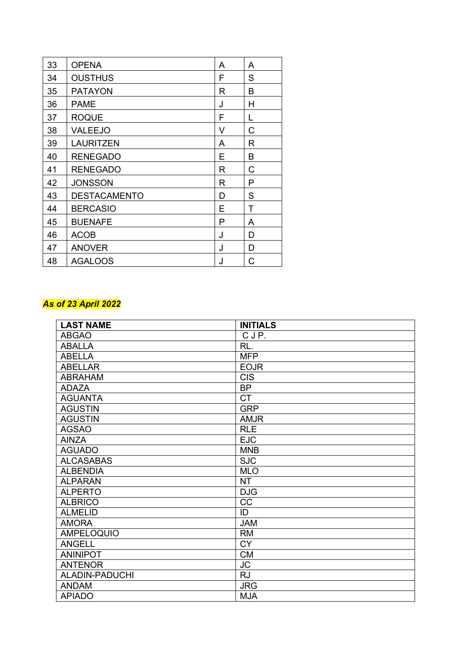| 33 | <b>OPENA</b>        | A | A |
|----|---------------------|---|---|
| 34 | <b>OUSTHUS</b>      | F | S |
| 35 | <b>PATAYON</b>      | R | B |
| 36 | <b>PAME</b>         | J | H |
| 37 | <b>ROQUE</b>        | F | L |
| 38 | VALEEJO             | V | C |
| 39 | <b>LAURITZEN</b>    | A | R |
| 40 | <b>RENEGADO</b>     | Е | В |
| 41 | <b>RENEGADO</b>     | R | C |
| 42 | <b>JONSSON</b>      | R | P |
| 43 | <b>DESTACAMENTO</b> | D | S |
| 44 | <b>BERCASIO</b>     | E | Τ |
| 45 | <b>BUENAFE</b>      | P | A |
| 46 | <b>ACOB</b>         | J | D |
| 47 | <b>ANOVER</b>       | J | D |
| 48 | AGALOOS             | J | C |

### *As of 23 April 2022*

| <b>LAST NAME</b>  | <b>INITIALS</b> |
|-------------------|-----------------|
| <b>ABGAO</b>      | CJP.            |
| ABALLA            | RL.             |
| <b>ABELLA</b>     | <b>MFP</b>      |
| <b>ABELLAR</b>    | <b>EOJR</b>     |
| <b>ABRAHAM</b>    | <b>CIS</b>      |
| <b>ADAZA</b>      | <b>BP</b>       |
| <b>AGUANTA</b>    | <b>CT</b>       |
| <b>AGUSTIN</b>    | <b>GRP</b>      |
| <b>AGUSTIN</b>    | <b>AMJR</b>     |
| <b>AGSAO</b>      | <b>RLE</b>      |
| <b>AINZA</b>      | <b>EJC</b>      |
| <b>AGUADO</b>     | <b>MNB</b>      |
| <b>ALCASABAS</b>  | <b>SJC</b>      |
| <b>ALBENDIA</b>   | <b>MLO</b>      |
| <b>ALPARAN</b>    | <b>NT</b>       |
| <b>ALPERTO</b>    | <b>DJG</b>      |
| <b>ALBRICO</b>    | CC              |
| <b>ALMELID</b>    | ID              |
| <b>AMORA</b>      | <b>JAM</b>      |
| <b>AMPELOQUIO</b> | <b>RM</b>       |
| <b>ANGELL</b>     | <b>CY</b>       |
| <b>ANINIPOT</b>   | <b>CM</b>       |
| <b>ANTENOR</b>    | <b>JC</b>       |
| ALADIN-PADUCHI    | <b>RJ</b>       |
| <b>ANDAM</b>      | <b>JRG</b>      |
| <b>APIADO</b>     | <b>MJA</b>      |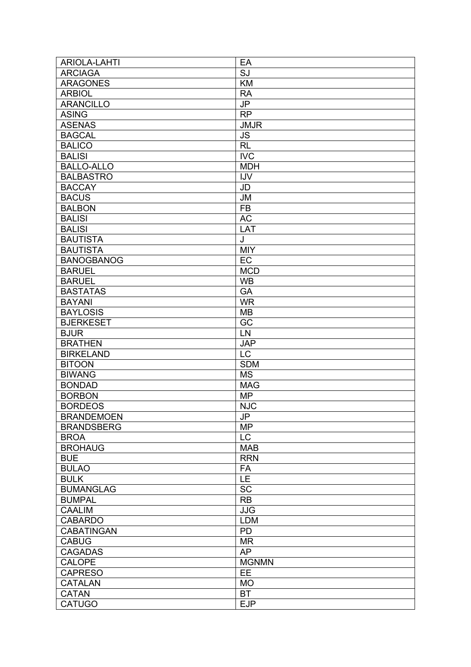| <b>ARIOLA-LAHTI</b> | EA              |
|---------------------|-----------------|
| <b>ARCIAGA</b>      | SJ              |
| <b>ARAGONES</b>     | <b>KM</b>       |
| <b>ARBIOL</b>       | <b>RA</b>       |
| <b>ARANCILLO</b>    | JP              |
| <b>ASING</b>        | <b>RP</b>       |
| <b>ASENAS</b>       | <b>JMJR</b>     |
| <b>BAGCAL</b>       | <b>JS</b>       |
| <b>BALICO</b>       | RL              |
| <b>BALISI</b>       | <b>IVC</b>      |
| <b>BALLO-ALLO</b>   | <b>MDH</b>      |
| <b>BALBASTRO</b>    | <b>IJV</b>      |
| <b>BACCAY</b>       |                 |
|                     | JD              |
| <b>BACUS</b>        | <b>JM</b>       |
| <b>BALBON</b>       | <b>FB</b>       |
| <b>BALISI</b>       | $\overline{AC}$ |
| <b>BALISI</b>       | LAT             |
| <b>BAUTISTA</b>     | J               |
| <b>BAUTISTA</b>     | <b>MIY</b>      |
| <b>BANOGBANOG</b>   | EC              |
| <b>BARUEL</b>       | <b>MCD</b>      |
| <b>BARUEL</b>       | <b>WB</b>       |
| <b>BASTATAS</b>     | GA              |
| <b>BAYANI</b>       | <b>WR</b>       |
| <b>BAYLOSIS</b>     | <b>MB</b>       |
| <b>BJERKESET</b>    | $\overline{GC}$ |
| <b>BJUR</b>         | LN              |
| <b>BRATHEN</b>      | <b>JAP</b>      |
| <b>BIRKELAND</b>    | <b>LC</b>       |
| <b>BITOON</b>       | <b>SDM</b>      |
| <b>BIWANG</b>       | <b>MS</b>       |
| <b>BONDAD</b>       | <b>MAG</b>      |
| <b>BORBON</b>       | <b>MP</b>       |
| <b>BORDEOS</b>      | <b>NJC</b>      |
| <b>BRANDEMOEN</b>   | JP              |
| <b>BRANDSBERG</b>   | <b>MP</b>       |
| <b>BROA</b>         | LC              |
|                     | <b>MAB</b>      |
| <b>BROHAUG</b>      |                 |
| <b>BUE</b>          | <b>RRN</b>      |
| <b>BULAO</b>        | FA              |
| <b>BULK</b>         | LE              |
| <b>BUMANGLAG</b>    | <b>SC</b>       |
| <b>BUMPAL</b>       | <b>RB</b>       |
| <b>CAALIM</b>       | <b>JJG</b>      |
| <b>CABARDO</b>      | <b>LDM</b>      |
| <b>CABATINGAN</b>   | PD              |
| <b>CABUG</b>        | <b>MR</b>       |
| <b>CAGADAS</b>      | <b>AP</b>       |
| <b>CALOPE</b>       | <b>MGNMN</b>    |
| <b>CAPRESO</b>      | EE              |
| <b>CATALAN</b>      | <b>MO</b>       |
| <b>CATAN</b>        | <b>BT</b>       |
| CATUGO              | <b>EJP</b>      |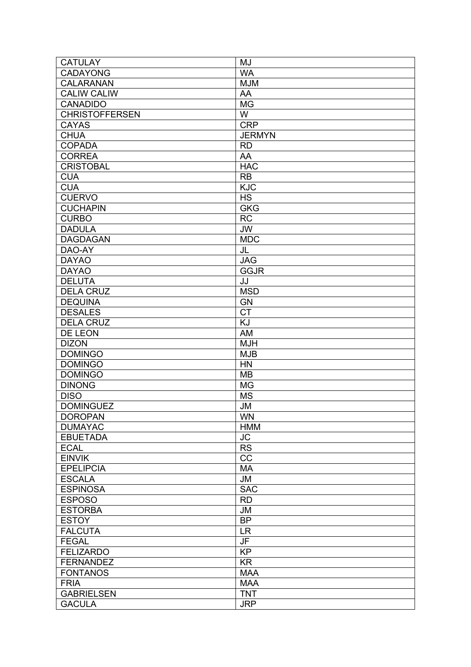| <b>CATULAY</b>        | MJ              |
|-----------------------|-----------------|
| <b>CADAYONG</b>       | <b>WA</b>       |
| <b>CALARANAN</b>      | <b>MJM</b>      |
| <b>CALIW CALIW</b>    | AA              |
| <b>CANADIDO</b>       | <b>MG</b>       |
| <b>CHRISTOFFERSEN</b> | W               |
| <b>CAYAS</b>          | <b>CRP</b>      |
| <b>CHUA</b>           | <b>JERMYN</b>   |
| <b>COPADA</b>         | <b>RD</b>       |
| <b>CORREA</b>         | AA              |
| <b>CRISTOBAL</b>      | <b>HAC</b>      |
| <b>CUA</b>            | <b>RB</b>       |
| <b>CUA</b>            | <b>KJC</b>      |
| <b>CUERVO</b>         | <b>HS</b>       |
|                       |                 |
| <b>CUCHAPIN</b>       | <b>GKG</b>      |
| <b>CURBO</b>          | <b>RC</b>       |
| <b>DADULA</b>         | <b>JW</b>       |
| <b>DAGDAGAN</b>       | <b>MDC</b>      |
| DAO-AY                | JL              |
| <b>DAYAO</b>          | <b>JAG</b>      |
| <b>DAYAO</b>          | <b>GGJR</b>     |
| <b>DELUTA</b>         | JJ              |
| <b>DELA CRUZ</b>      | <b>MSD</b>      |
| <b>DEQUINA</b>        | <b>GN</b>       |
| <b>DESALES</b>        | $\overline{CT}$ |
| <b>DELA CRUZ</b>      | KJ              |
| DE LEON               | AM              |
| <b>DIZON</b>          | <b>MJH</b>      |
| <b>DOMINGO</b>        | <b>MJB</b>      |
| <b>DOMINGO</b>        | <b>HN</b>       |
| <b>DOMINGO</b>        | <b>MB</b>       |
| <b>DINONG</b>         | <b>MG</b>       |
| <b>DISO</b>           | <b>MS</b>       |
| <b>DOMINGUEZ</b>      | <b>JM</b>       |
| <b>DOROPAN</b>        | <b>WN</b>       |
| <b>DUMAYAC</b>        | <b>HMM</b>      |
| <b>EBUETADA</b>       | <b>JC</b>       |
| <b>ECAL</b>           | <b>RS</b>       |
| <b>EINVIK</b>         | CC              |
| <b>EPELIPCIA</b>      | <b>MA</b>       |
| <b>ESCALA</b>         | <b>JM</b>       |
| <b>ESPINOSA</b>       | <b>SAC</b>      |
| <b>ESPOSO</b>         | <b>RD</b>       |
| <b>ESTORBA</b>        | <b>JM</b>       |
|                       | <b>BP</b>       |
| <b>ESTOY</b>          |                 |
| <b>FALCUTA</b>        | <b>LR</b>       |
| <b>FEGAL</b>          | JF              |
| <b>FELIZARDO</b>      | <b>KP</b>       |
| <b>FERNANDEZ</b>      | <b>KR</b>       |
| <b>FONTANOS</b>       | <b>MAA</b>      |
| <b>FRIA</b>           | <b>MAA</b>      |
| <b>GABRIELSEN</b>     | <b>TNT</b>      |
| <b>GACULA</b>         | <b>JRP</b>      |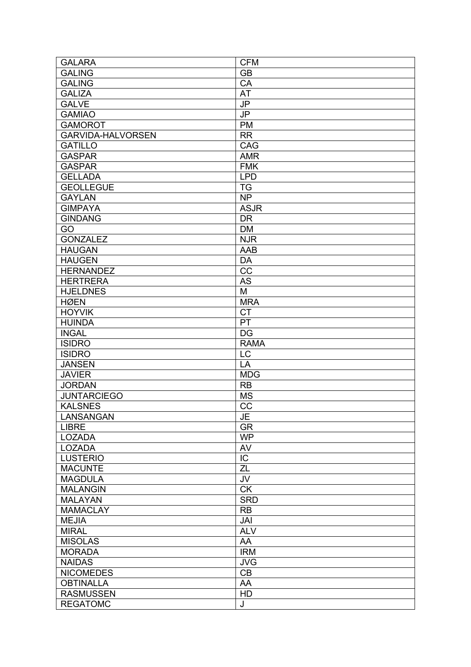| <b>GALARA</b>            | <b>CFM</b>                         |
|--------------------------|------------------------------------|
| <b>GALING</b>            | <b>GB</b>                          |
| <b>GALING</b>            | CA                                 |
| <b>GALIZA</b>            | <b>AT</b>                          |
| <b>GALVE</b>             | $\overline{\mathsf{J} \mathsf{P}}$ |
| <b>GAMIAO</b>            | JP                                 |
| <b>GAMOROT</b>           | <b>PM</b>                          |
| <b>GARVIDA-HALVORSEN</b> | <b>RR</b>                          |
| <b>GATILLO</b>           | CAG                                |
| <b>GASPAR</b>            | <b>AMR</b>                         |
| <b>GASPAR</b>            | <b>FMK</b>                         |
| <b>GELLADA</b>           | <b>LPD</b>                         |
| <b>GEOLLEGUE</b>         | <b>TG</b>                          |
| <b>GAYLAN</b>            | <b>NP</b>                          |
| <b>GIMPAYA</b>           | <b>ASJR</b>                        |
| <b>GINDANG</b>           | <b>DR</b>                          |
| GO                       | <b>DM</b>                          |
| <b>GONZALEZ</b>          | <b>NJR</b>                         |
| <b>HAUGAN</b>            | <b>AAB</b>                         |
| <b>HAUGEN</b>            | DA                                 |
| <b>HERNANDEZ</b>         | CC                                 |
| <b>HERTRERA</b>          | <b>AS</b>                          |
| <b>HJELDNES</b>          | M                                  |
| <b>HØEN</b>              | <b>MRA</b>                         |
| <b>HOYVIK</b>            | <b>CT</b>                          |
| <b>HUINDA</b>            | PT                                 |
| <b>INGAL</b>             | <b>DG</b>                          |
| <b>ISIDRO</b>            | <b>RAMA</b>                        |
| <b>ISIDRO</b>            | LC                                 |
| <b>JANSEN</b>            | LA                                 |
| <b>JAVIER</b>            | MDG                                |
| <b>JORDAN</b>            | <b>RB</b>                          |
| <b>JUNTARCIEGO</b>       | <b>MS</b>                          |
| <b>KALSNES</b>           | CC                                 |
| LANSANGAN                | JE                                 |
| <b>LIBRE</b>             | GR                                 |
| <b>LOZADA</b>            | <b>WP</b>                          |
| <b>LOZADA</b>            | AV                                 |
| <b>LUSTERIO</b>          | IC                                 |
| <b>MACUNTE</b>           | $\overline{ZL}$                    |
| <b>MAGDULA</b>           | JV                                 |
| <b>MALANGIN</b>          | <b>CK</b>                          |
| <b>MALAYAN</b>           | <b>SRD</b>                         |
| <b>MAMACLAY</b>          | <b>RB</b>                          |
| <b>MEJIA</b>             | JAI                                |
| <b>MIRAL</b>             | <b>ALV</b>                         |
| <b>MISOLAS</b>           | AA                                 |
| <b>MORADA</b>            | <b>IRM</b>                         |
| <b>NAIDAS</b>            | <b>JVG</b>                         |
| <b>NICOMEDES</b>         | CB                                 |
| <b>OBTINALLA</b>         | AA                                 |
| <b>RASMUSSEN</b>         | HD                                 |
| <b>REGATOMC</b>          | J                                  |
|                          |                                    |